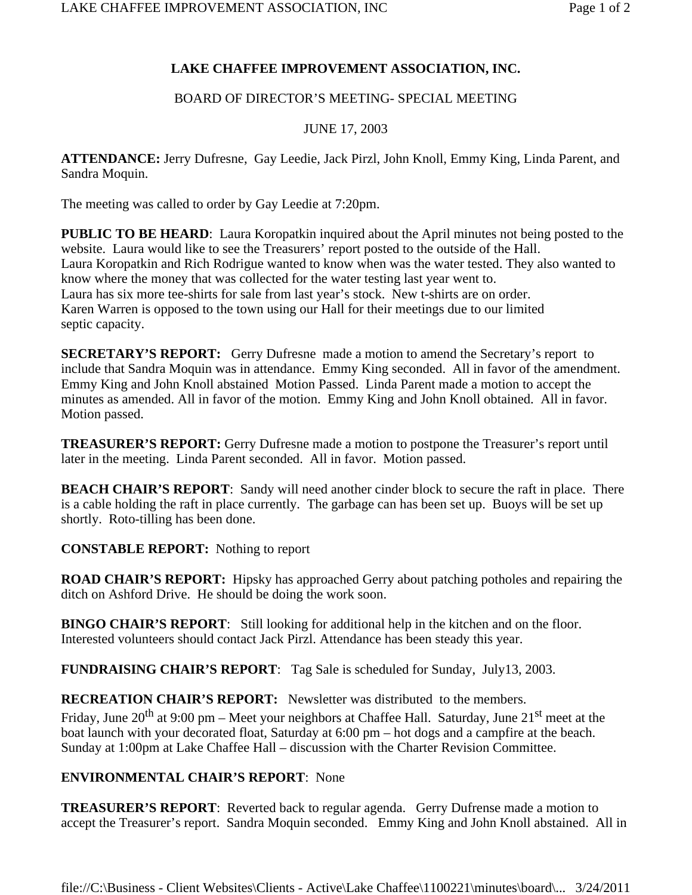# **LAKE CHAFFEE IMPROVEMENT ASSOCIATION, INC.**

## BOARD OF DIRECTOR'S MEETING- SPECIAL MEETING

### JUNE 17, 2003

**ATTENDANCE:** Jerry Dufresne, Gay Leedie, Jack Pirzl, John Knoll, Emmy King, Linda Parent, and Sandra Moquin.

The meeting was called to order by Gay Leedie at 7:20pm.

**PUBLIC TO BE HEARD**: Laura Koropatkin inquired about the April minutes not being posted to the website. Laura would like to see the Treasurers' report posted to the outside of the Hall. Laura Koropatkin and Rich Rodrigue wanted to know when was the water tested. They also wanted to know where the money that was collected for the water testing last year went to. Laura has six more tee-shirts for sale from last year's stock. New t-shirts are on order. Karen Warren is opposed to the town using our Hall for their meetings due to our limited septic capacity.

**SECRETARY'S REPORT:** Gerry Dufresne made a motion to amend the Secretary's report to include that Sandra Moquin was in attendance. Emmy King seconded. All in favor of the amendment. Emmy King and John Knoll abstained Motion Passed. Linda Parent made a motion to accept the minutes as amended. All in favor of the motion. Emmy King and John Knoll obtained. All in favor. Motion passed.

**TREASURER'S REPORT:** Gerry Dufresne made a motion to postpone the Treasurer's report until later in the meeting. Linda Parent seconded. All in favor. Motion passed.

**BEACH CHAIR'S REPORT:** Sandy will need another cinder block to secure the raft in place. There is a cable holding the raft in place currently. The garbage can has been set up. Buoys will be set up shortly. Roto-tilling has been done.

**CONSTABLE REPORT:** Nothing to report

**ROAD CHAIR'S REPORT:** Hipsky has approached Gerry about patching potholes and repairing the ditch on Ashford Drive. He should be doing the work soon.

**BINGO CHAIR'S REPORT**: Still looking for additional help in the kitchen and on the floor. Interested volunteers should contact Jack Pirzl. Attendance has been steady this year.

**FUNDRAISING CHAIR'S REPORT**: Tag Sale is scheduled for Sunday, July13, 2003.

**RECREATION CHAIR'S REPORT:** Newsletter was distributed to the members.

Friday, June 20<sup>th</sup> at 9:00 pm – Meet your neighbors at Chaffee Hall. Saturday, June 21<sup>st</sup> meet at the boat launch with your decorated float, Saturday at 6:00 pm – hot dogs and a campfire at the beach. Sunday at 1:00pm at Lake Chaffee Hall – discussion with the Charter Revision Committee.

# **ENVIRONMENTAL CHAIR'S REPORT**: None

**TREASURER'S REPORT**: Reverted back to regular agenda. Gerry Dufrense made a motion to accept the Treasurer's report. Sandra Moquin seconded. Emmy King and John Knoll abstained. All in